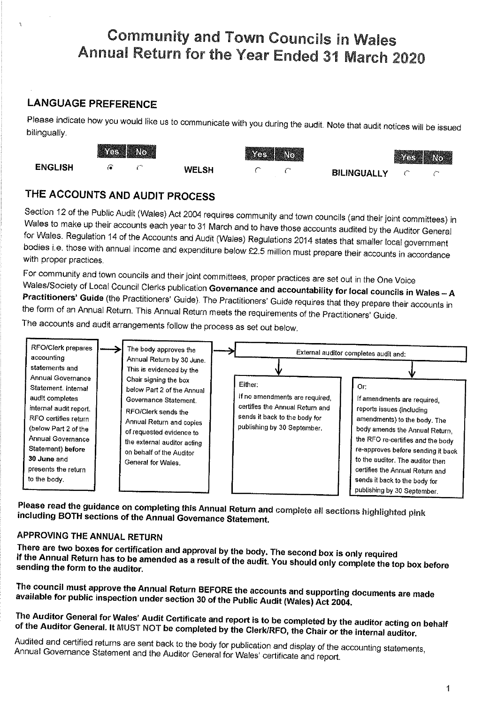# **Community and Town Councils in Wales** Annual Return for the Year Ended 31 March 2020

## **LANGUAGE PREFERENCE**

Please indicate how you would like us to communicate with you during the audit. Note that audit notices will be issued bilingually.

|                | <b>The Communication of the Communication</b><br>羅勝 |  | Yes (No      |   |      | <b>As No.</b>      |  |  |
|----------------|-----------------------------------------------------|--|--------------|---|------|--------------------|--|--|
| <b>ENGLISH</b> |                                                     |  | <b>WELSH</b> | ∼ | ave. | <b>BILINGUALLY</b> |  |  |

## THE ACCOUNTS AND AUDIT PROCESS

Section 12 of the Public Audit (Wales) Act 2004 requires community and town councils (and their joint committees) in Wales to make up their accounts each year to 31 March and to have those accounts audited by the Auditor General for Wales. Regulation 14 of the Accounts and Audit (Wales) Regulations 2014 states that smaller local government bodies i.e. those with annual income and expenditure below £2.5 million must prepare their accounts in accordance with proper practices.

For community and town councils and their joint committees, proper practices are set out in the One Voice Wales/Society of Local Council Clerks publication Governance and accountability for focal councils in Wales - A Practitioners' Guide (the Practitioners' Guide). The Practitioners' Guide requires that they prepare their accounts in the form of an Annual Return. This Annual Return meets the requirements of the Practitioners' Guide.

The accounts and audit arrangements follow the process as set out below.



Please read the guidance on completing this Annual Return and complete all sections highlighted pink including BOTH sections of the Annual Governance Statement.

### APPROVING THE ANNUAL RETURN

There are two boxes for certification and approval by the body. The second box is only required If the Annual Return has to be amended as a result of the audit. You should only complete the top box before sending the form to the auditor.

The council must approve the Annual Return BEFORE the accounts and supporting documents are made available for public inspection under section 30 of the Public Audit (Wales) Act 2004.

## The Auditor General for Wales' Audit Certificate and report is to be completed by the auditor acting on behalf of the Auditor General. It MUST NOT be completed by the Clerk/RFO, the Chair or the internal auditor.

Audited and certified returns are sent back to the body for publication and display of the accounting statements, Annual Governance Statement and the Auditor General for Wales' certificate and report.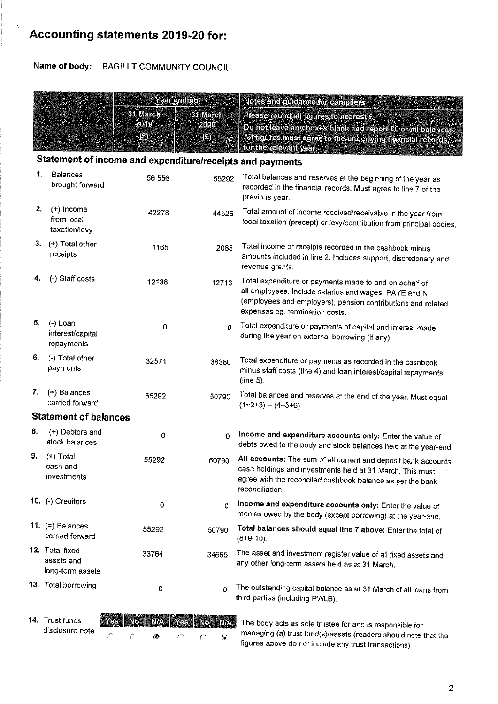# Accounting statements 2019-20 for:

Name of body: BAGILLT COMMUNITY COUNCIL

|    |                                                           | Yeahending            |                                | Notes and cultence for complete                                                                                                                                                                                     |  |  |  |
|----|-----------------------------------------------------------|-----------------------|--------------------------------|---------------------------------------------------------------------------------------------------------------------------------------------------------------------------------------------------------------------|--|--|--|
|    |                                                           | 31 March<br>2019<br>O | <b>31 March</b><br>2020<br>13) | Please round all figures to rearest 2<br>Do not leave any boxes blank and report 90 or nil balances.<br>All figures must agree to the underlying unancial records.<br><b>for the releventy cer</b>                  |  |  |  |
|    | Statement of income and expenditure/receipts and payments |                       |                                |                                                                                                                                                                                                                     |  |  |  |
| 1. | <b>Balances</b><br>brought forward                        | 56,556                | 55292                          | Total balances and reserves at the beginning of the year as<br>recorded in the financial records. Must agree to line 7 of the<br>previous year.                                                                     |  |  |  |
| 2. | $(+)$ income<br>from local<br>taxation/levy               | 42278                 | 44526                          | Total amount of income received/receivable in the year from<br>local taxation (precept) or levy/contribution from principal bodies.                                                                                 |  |  |  |
|    | 3. $(+)$ Total other<br>receipts                          | 1165                  | 2065                           | Total income or receipts recorded in the cashbook minus<br>amounts included in line 2. Includes support, discretionary and<br>revenue grants.                                                                       |  |  |  |
| 4. | (-) Staff costs                                           | 12136                 | 12713                          | Total expenditure or payments made to and on behalf of<br>all employees. Include salaries and wages, PAYE and NI<br>(employees and employers), pension contributions and related<br>expenses eg. termination costs. |  |  |  |
| 5. | $(-)$ Loan<br>interest/capital<br>repayments              | 0                     | 0                              | Total expenditure or payments of capital and interest made<br>during the year on external borrowing (if any).                                                                                                       |  |  |  |
| 6. | (-) Total other<br>payments                               | 32571                 | 38380                          | Total expenditure or payments as recorded in the cashbook<br>minus staff costs (line 4) and loan interest/capital repayments<br>(line 5).                                                                           |  |  |  |
| 7. | $(=)$ Balances<br>carried forward                         | 55292                 | 50790                          | Total balances and reserves at the end of the year. Must equal<br>$(1+2+3) - (4+5+6)$ .                                                                                                                             |  |  |  |
|    | <b>Statement of balances</b>                              |                       |                                |                                                                                                                                                                                                                     |  |  |  |
| 8. | $(+)$ Debtors and<br>stock balances                       | 0                     | $\Omega$                       | Income and expenditure accounts only: Enter the value of<br>debts owed to the body and stock balances held at the year-end.                                                                                         |  |  |  |
| 9. | $(+)$ Total<br>cash and<br>investments                    | 55292                 | 50790                          | All accounts: The sum of all current and deposit bank accounts,<br>cash holdings and investments held at 31 March. This must<br>agree with the reconciled cashbook balance as per the bank<br>reconciliation.       |  |  |  |
|    | 10. (-) Creditors                                         | 0                     | 0                              | Income and expenditure accounts only: Enter the value of<br>monies owed by the body (except borrowing) at the year-end.                                                                                             |  |  |  |
|    | 11. $(=)$ Balances<br>carried forward                     | 55292                 | 50790                          | Total balances should equal line 7 above: Enter the total of<br>$(8+9-10)$ .                                                                                                                                        |  |  |  |
|    | 12. Total fixed<br>assets and<br>long-term assets         | 33764                 | 34665                          | The asset and investment register value of all fixed assets and<br>any other long-term assets held as at 31 March.                                                                                                  |  |  |  |
|    | 13. Total borrowing                                       | 0                     | $\Omega$                       | The outstanding capital balance as at 31 March of all loans from<br>third parties (including PWLB).                                                                                                                 |  |  |  |
|    |                                                           |                       |                                |                                                                                                                                                                                                                     |  |  |  |

| <b>14. Trust funds</b> |
|------------------------|
| disclosure note        |

|  | Yes No N/A Yes No N/A |  |  |
|--|-----------------------|--|--|
|  | $C=C=\{0\}$ , $C=C=G$ |  |  |

 $\frac{1}{2}$  The body acts as sole trustee for and is responsible for managing (a) trust fund(s/assets (readers should note that the figures above do not include any trust transactions).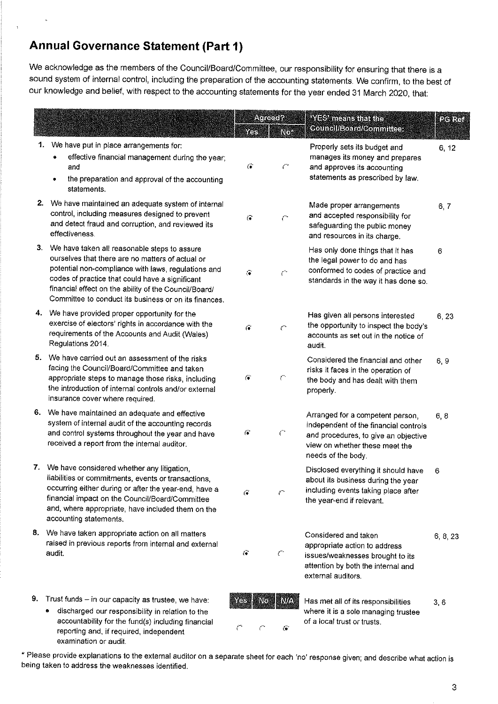# Annual Governance Statement (Part 1)

We acknowledge as the members of the Council/Board/Committee, our responsibility for ensuring that there is a sound system of internal control, including the preparation of the accounting statements. We confirm, to the best of our knowledge and belief, with respect to the accounting statements for the year ended 31 March 2O2O, thal:

|    |                                                                                                                                                                                                                                                                                                                                 | YŒ.                     | Acreed?<br><b>Nox</b> | <b>WES mensuratio</b><br><b>Council/Board/Committee:</b>                                                                                                                  | <b>Delker</b> |
|----|---------------------------------------------------------------------------------------------------------------------------------------------------------------------------------------------------------------------------------------------------------------------------------------------------------------------------------|-------------------------|-----------------------|---------------------------------------------------------------------------------------------------------------------------------------------------------------------------|---------------|
| 1. | We have put in place arrangements for:<br>effective financial management during the year;<br>and<br>the preparation and approval of the accounting<br>statements.                                                                                                                                                               | $\widehat{\mathcal{C}}$ | C                     | Properly sets its budget and<br>manages its money and prepares<br>and approves its accounting<br>statements as prescribed by law.                                         | 6, 12         |
|    | 2. We have maintained an adequate system of internal<br>control, including measures designed to prevent<br>and detect fraud and corruption, and reviewed its<br>effectiveness.                                                                                                                                                  | $\overline{\mathbf{f}}$ | ŗ.                    | Made proper arrangements<br>and accepted responsibility for<br>safeguarding the public money<br>and resources in its charge.                                              | 6, 7          |
|    | 3. We have taken all reasonable steps to assure<br>ourselves that there are no matters of actual or<br>potential non-compliance with laws, regulations and<br>codes of practice that could have a significant<br>financial effect on the ability of the Council/Board/<br>Committee to conduct its business or on its finances. | $\widehat{G}$           | $\mathcal{C}^{\ast}$  | Has only done things that it has<br>the legal power to do and has<br>conformed to codes of practice and<br>standards in the way it has done so.                           | 6             |
|    | 4. We have provided proper opportunity for the<br>exercise of electors' rights in accordance with the<br>requirements of the Accounts and Audit (Wales)<br>Regulations 2014.                                                                                                                                                    | $\overline{(\bullet)}$  | $\mathcal{C}$         | Has given all persons interested<br>the opportunity to inspect the body's<br>accounts as set out in the notice of<br>audit.                                               | 6, 23         |
| 5. | We have carried out an assessment of the risks<br>facing the Council/Board/Committee and taken<br>appropriate steps to manage those risks, including<br>the introduction of internal controls and/or external<br>insurance cover where required.                                                                                | G.                      | $\mathcal{C}^*$       | Considered the financial and other<br>risks it faces in the operation of<br>the body and has dealt with them<br>properly.                                                 | 6, 9          |
| 6. | We have maintained an adequate and effective<br>system of internal audit of the accounting records<br>and control systems throughout the year and have<br>received a report from the internal auditor.                                                                                                                          | $\zeta$ .               | $\mathcal{C}^{\ast}$  | Arranged for a competent person,<br>independent of the financial controls<br>and procedures, to give an objective<br>view on whether these meet the<br>needs of the body. | 6, 8          |
|    | 7. We have considered whether any litigation,<br>liabilities or commitments, events or transactions,<br>occurring either during or after the year-end, have a<br>financial impact on the Council/Board/Committee<br>and, where appropriate, have included them on the<br>accounting statements.                                 | G                       | r                     | Disclosed everything it should have<br>about its business during the year<br>including events taking place after<br>the year-end if relevant.                             | 6             |
| 8. | We have taken appropriate action on all matters<br>raised in previous reports from internal and external<br>audit.                                                                                                                                                                                                              | Ö.                      | $\zeta^{\rm obs}$     | Considered and taken<br>appropriate action to address<br>issues/weaknesses brought to its<br>attention by both the internal and<br>external auditors.                     | 6, 8, 23      |
| 9. | Trust funds - in our capacity as trustee, we have:<br>discharged our responsibility in relation to the<br>۰<br>accountability for the fund(s) including financial<br>reporting and if required independent                                                                                                                      | 16 S<br>NØ<br>Č         | NA<br>G               | Has met all of its responsibilities<br>where it is a sole managing trustee<br>of a local trust or trusts.                                                                 | 3,6           |

\* Please provide explanations to the extemal auditor on a separate sheet for each 'no' response given; and describe what ac¡on is being taken to address the weaknesses identified.

reporting and, if required, independent

examination or audit.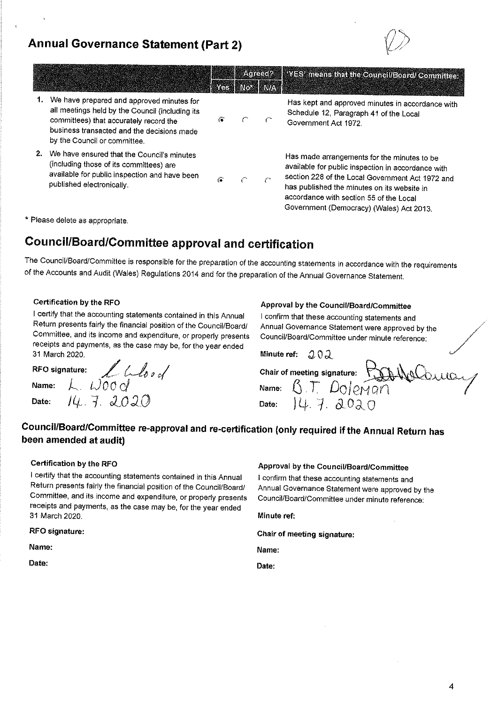## Annual Governance Statement (Part 2)



|    |                                                                                                                                                                                                                      |                         | Acreeci2 | <b>MES means that the council/Board/Committee</b>                                                                                                                                                                                                                                           |
|----|----------------------------------------------------------------------------------------------------------------------------------------------------------------------------------------------------------------------|-------------------------|----------|---------------------------------------------------------------------------------------------------------------------------------------------------------------------------------------------------------------------------------------------------------------------------------------------|
|    |                                                                                                                                                                                                                      | <b>STAR TO BUILDING</b> |          |                                                                                                                                                                                                                                                                                             |
|    | We have prepared and approved minutes for<br>all meetings held by the Council (including its<br>committees) that accurately record the<br>business transacted and the decisions made<br>by the Council or committee. | 冷                       |          | Has kept and approved minutes in accordance with<br>Schedule 12, Paragraph 41 of the Local<br>Government Act 1972.                                                                                                                                                                          |
| 2. | We have ensured that the Council's minutes<br>(including those of its committees) are<br>available for public inspection and have been<br>published electronically.                                                  | $\tilde{\mathbf{C}}$    |          | Has made arrangements for the minutes to be<br>available for public inspection in accordance with<br>section 228 of the Local Government Act 1972 and<br>has published the minutes on its website in<br>accordance with section 55 of the Local<br>Government (Democracy) (Wales) Act 2013. |

\* Please delete as appropriate.

## Council/Board/Committee approval and certification

The Council/Board/Committee is responsible for the preparation of the accounting statements in accordance with the requirements of the Accounts and Audit (Wales) Regulations 2014 and for the preparâtíon of the Annual Govemance Statement.

### Certification by the RFO

I certify that the accounting statements contained in this Annual Return presents fairly the financial position of the Council/Board/ Committee, and its income and expenditure, or properly presenls receipts and payments, as the case may be, for the year ended 31 March 2020.

 $\partial$ 

RFO signature:  $\mathcal{L}$   $\mathcal{L}$ Name:  $\lambda$ .  $\omega$ 00 c/ Date:  $14.7.2020$  Approval by the Councit/Board/Committee

I confirm that these accounting statements and Annual Governance Statement were approved by the Council/Board/Committee under minute reference:

| Minute ref: $202$ |                                             |  |
|-------------------|---------------------------------------------|--|
|                   | Chair of meeting signature: hall we Coulder |  |
|                   | Name: B.T. Dolpman                          |  |
| Date:             | 147.2020                                    |  |

### Gouncll/Board/Commfüee re-approvaland re-certification (only required if the Annual Return has been amended at audit)

#### Certiflcation by the RFO

I certify that the accounting statements contained in this Annual Return presents fairly the financial position of the Council/Board/ Committee, and its income and expenditure, or properly presents receipts and payments, as the case may be, for the year ended 31 March 2020.

### RFO eignature:

Name:

Date:

### Approval by the Council/Board/Gommlttee

I confirm that these accounting statements and Annual Governance Statement were approved by the Council/Board/Committee under minute reference:

Minute ref:

Chair of meeting signature:

Name:

Date: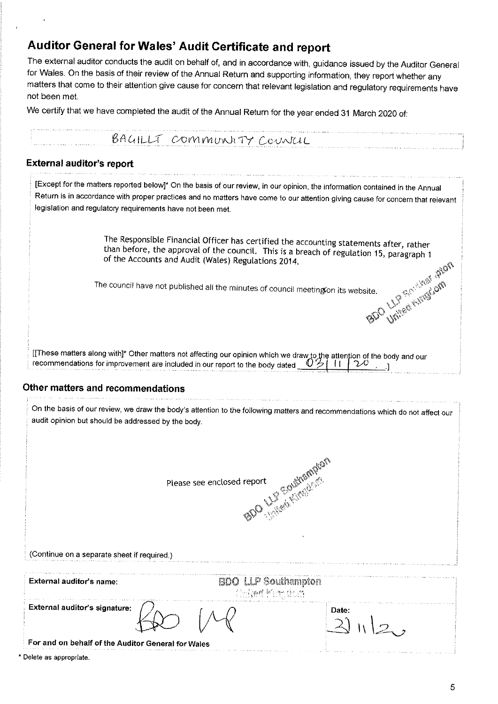# Auditor General for Wales' Audit Certificate and report

The external auditor conducts the audit on behalf of, and in accordance with, guidance issued by the Auditor General for Wales. On the basis of their review of the Annual Return and supporting information, they report whether any matters that come to their attention give cause for concern that relevant legislation and regulatory requirements have not been met.

We certify that we have completed the audit of the Annual Return for the year ended 31 March 2020 of:

|                                                                                                                                                                                                                                | a series and and an order of the series of the series are constituted as a series of the series of the series |
|--------------------------------------------------------------------------------------------------------------------------------------------------------------------------------------------------------------------------------|---------------------------------------------------------------------------------------------------------------|
| BAGILLT COMMUNITY COUNCIL                                                                                                                                                                                                      |                                                                                                               |
| of the Machines the theory and the contract the contract of the construction of the contract of the contract of the contract of the contract of the contract of the contract of the contract of the contract of the contract o |                                                                                                               |

### **External auditor's report**

|                                             | .<br>The continuum of the communities of a community construction in the community of the community of the community                                                                                                                                           |
|---------------------------------------------|----------------------------------------------------------------------------------------------------------------------------------------------------------------------------------------------------------------------------------------------------------------|
|                                             | [Except for the matters reported below]* On the basis of our review, in our opinion, the information contained in the Annual<br>Return is in accordance with proper practices and no matters have come to our attention giving cause for concern that relevant |
|                                             | legislation and regulatory requirements have not been met.                                                                                                                                                                                                     |
|                                             | The Responsible Financial Officer has certified the accounting statements after, rather<br>than before, the approval of the council. This is a breach of regulation 15, paragraph 1<br>of the Accounts and Audit (Wales) Regulations 2014.                     |
|                                             | SDC LIP SEE KING SOFT<br>The council have not published all the minutes of council meeting on its website.                                                                                                                                                     |
|                                             | [[These matters along with]* Other matters not affecting our opinion which we draw to the attention of the body and our recommendations for improvement are included in our report to the body dated $0.911120$                                                |
| Other matters and recommendations           |                                                                                                                                                                                                                                                                |
|                                             | On the basis of our review, we draw the body's attention to the following matters and recommendations which do not affect our<br>audit opinion but should be addressed by the body.                                                                            |
|                                             | SAC LIFE GAMAGAY<br>Please see enclosed report                                                                                                                                                                                                                 |
| (Continue on a separate sheet if required.) |                                                                                                                                                                                                                                                                |
| External auditor's name:                    | <b>BDO LLP Southampton</b><br>经国际融料 阿姆氏综合征                                                                                                                                                                                                                     |

Date:  $2)$  II  $|2,$ 

For and on behalf of the Auditor General for Wales

\* Delete as appropriate.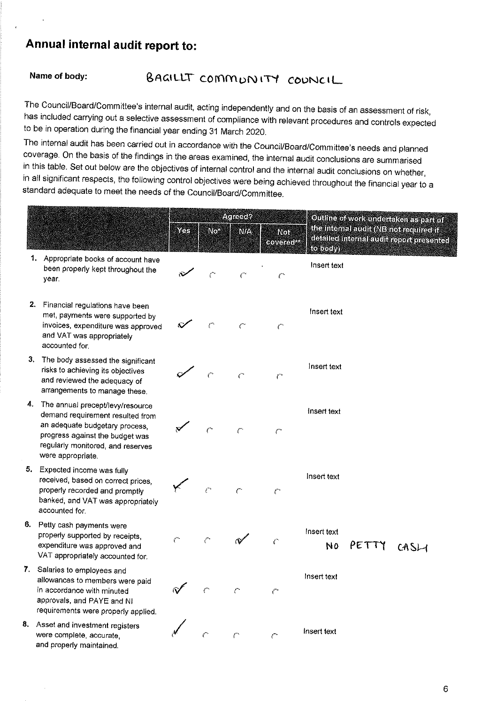# Annual internal audit report to:

#### BAGILLT COMMUNITY COUNCIL Name of body:

The Council/Board/Committee's internal audit, acting independently and on the basis of an assessment of risk, has included carrying out a selective assessment of compliance with relevant procedures and controls expected to be in operation during the financial year ending 31 March 2020.

The internal audit has been carried out in accordance with the Council/Board/Committee's needs and planned coverage. On the basis of the findings in the areas examined, the internal audit conclusions are summarised in this table. Set out below are the objectives of internal control and the internal audit conclusions on whether, in all significant respects, the following control objectives were being achieved throughout the financial year to a standard adequate to meet the needs of the Council/Board/Committee.

|    |                                                                                                                                                                                                     | XX                    | IND.                        | Agreed?<br>NZN.        | Not<br>covered <sup>to</sup> | Othline of work under a kenter part of<br>the international (NETrol required if<br>da allecim emal auch report presented<br><b>(following)</b> |
|----|-----------------------------------------------------------------------------------------------------------------------------------------------------------------------------------------------------|-----------------------|-----------------------------|------------------------|------------------------------|------------------------------------------------------------------------------------------------------------------------------------------------|
|    | 1.<br>Appropriate books of account have<br>been properly kept throughout the<br>year.                                                                                                               |                       | $\mathcal{C}^{\bullet}$     | سن                     | $\mathcal{C}^*$              | Insert text                                                                                                                                    |
|    | 2. Financial regulations have been<br>met, payments were supported by<br>invoices, expenditure was approved<br>and VAT was appropriately<br>accounted for.                                          |                       | r                           | سيم                    | $\mathcal{C}$                | Insert text                                                                                                                                    |
|    | 3. The body assessed the significant<br>risks to achieving its objectives<br>and reviewed the adequacy of<br>arrangements to manage these.                                                          |                       | r.                          | $\epsilon$             | $\mathcal{C}$                | Insert text                                                                                                                                    |
| 4. | The annual precept/levy/resource<br>demand requirement resulted from<br>an adequate budgetary process,<br>progress against the budget was<br>regularly monitored, and reserves<br>were appropriate. |                       | r.                          | $\mathcal{C}$          | $\subset$                    | Insert text                                                                                                                                    |
| 5. | Expected income was fully<br>received, based on correct prices.<br>properly recorded and promptly<br>banked, and VAT was appropriately<br>accounted for.                                            |                       | $\mathcal{C}^{\mathcal{A}}$ | $\zeta^{\omega_\star}$ | €                            | Insert text                                                                                                                                    |
| 6. | Petty cash payments were<br>properly supported by receipts,<br>expenditure was approved and<br>VAT appropriately accounted for.                                                                     | $\zeta^{\mathrm{ex}}$ | $\subset$                   |                        | €                            | Insert text<br>PETTY<br>NO<br>CASH                                                                                                             |
|    | 7. Salaries to employees and<br>allowances to members were paid<br>in accordance with minuted<br>approvals, and PAYE and NI<br>requirements were properly applied.                                  |                       |                             |                        |                              | Insert text                                                                                                                                    |
| 8. | Asset and investment registers<br>were complete, accurate,<br>and properly maintained.                                                                                                              |                       | Õ                           | $\mathcal{C}^*$        | يسمو                         | Insert text                                                                                                                                    |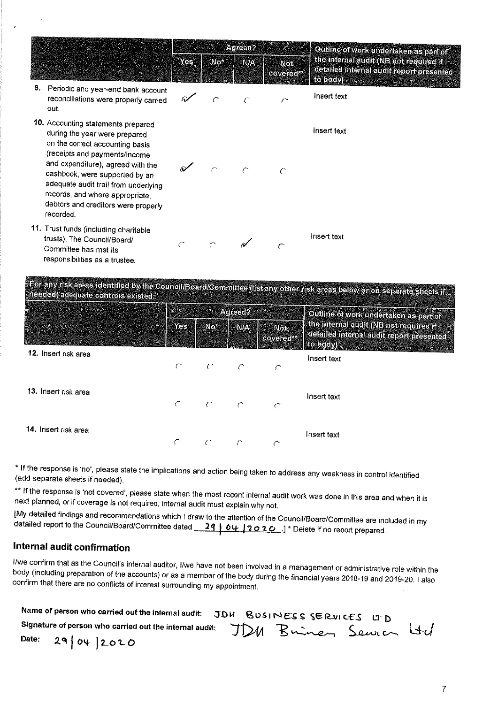|    |                                                                                                                                                                                                                                                                                                                                               | <b>Agreed?</b> |            |            |                                 | <b>Cutline of work undertaken as part of</b>                                                    |  |
|----|-----------------------------------------------------------------------------------------------------------------------------------------------------------------------------------------------------------------------------------------------------------------------------------------------------------------------------------------------|----------------|------------|------------|---------------------------------|-------------------------------------------------------------------------------------------------|--|
|    |                                                                                                                                                                                                                                                                                                                                               | Yes            | <b>NO.</b> | <b>MAY</b> | <b>Not</b><br><b>covered!!!</b> | the internal audit (NB not required if<br>de allec internal audit report presented<br>(10.0000) |  |
| 9. | Periodic and year-end bank account<br>reconciliations were properly carried<br>out.                                                                                                                                                                                                                                                           |                |            |            |                                 | Insert text                                                                                     |  |
|    | 10. Accounting statements prepared<br>during the year were prepared<br>on the correct accounting basis<br>(receipts and payments/income<br>and expenditure), agreed with the<br>cashbook, were supported by an<br>adequate audit trail from underlying<br>records, and where appropriate,<br>debtors and creditors were properly<br>recorded. |                |            |            |                                 | Insert text                                                                                     |  |
|    | 11. Trust funds (including charitable<br>trusts). The Council/Board/<br>Committee has met its<br>responsibilities as a trustee.<br>The contraction of the company and the contract of the contract of the                                                                                                                                     | ∕              |            |            |                                 | Insert text                                                                                     |  |

sk areas identified by the Council/Board/Committee (list any other risk areas below or on separate sheets if neaded) adequate controls existed:

|                      |             |                                 | ANGELIA    |                          | <b>Coullne of voixunderaken as partor</b>                                                                              |  |
|----------------------|-------------|---------------------------------|------------|--------------------------|------------------------------------------------------------------------------------------------------------------------|--|
|                      | <b>NYes</b> | <b>SEANOUR</b><br><b>EXVALU</b> |            | Not<br><b>Rovered Wa</b> | <b>Ine internal autility (NE) no Feeting diff</b><br><b>detailed internal audit report presented</b><br><b>Rotochy</b> |  |
| 12. Insert risk area | £.          | $\subset$                       |            | r                        | Insert text                                                                                                            |  |
| 13. Insert risk area | C.          | $\subset$                       | $\sqrt{ }$ | سيم                      | Insert fext                                                                                                            |  |
| 14. Insert risk area |             | C                               |            |                          | Insert text                                                                                                            |  |

\* If the response is 'no', please state the implications and action being taken to address any weakness in control identified (add separate sheets if needed).

\*\* If the response is 'not covered', please state when the most recent internal audit work was done in this area and when it is next planned, or if coverage is not required, internal audit must explain why not.

[My detailed findings and recommendations which I draw to the attention of the Council/Board/Committee are included in my detailed report to the Council/Board/Committee dated 29 04 2020 ]\* Delete if no report prepared.

### Internal audit confirmation

I/we confirm that as the Council's internal auditor, I/we have not been involved in a management or administrative role within the body (including preparation of the accounts) or as a member of the body during the financial years 2018-19 and 2019-20. I also confirm that there are no conflicts of interest surrounding my appointment.

| Name of person who carried out the internal audit: JDU BOSINESS SERVICES LTD |  |  |  |
|------------------------------------------------------------------------------|--|--|--|
| signature of person who carried out the internal audit: JDM Buiney Senven Ud |  |  |  |
| Date: $29042020$                                                             |  |  |  |